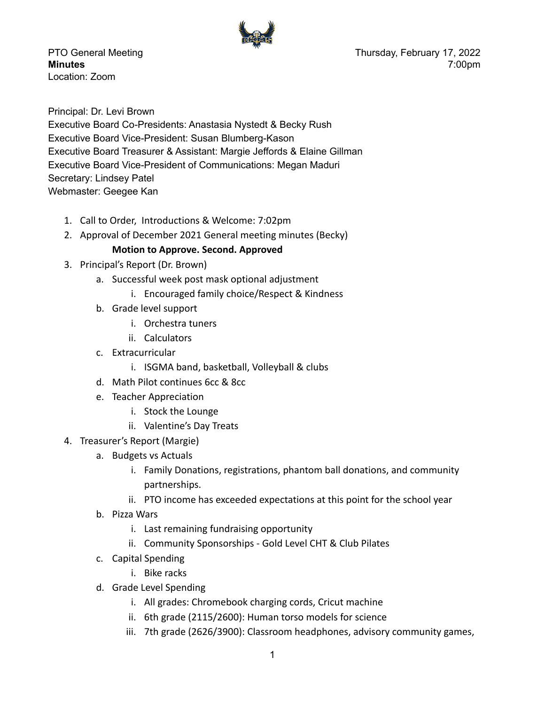

Location: Zoom

PTO General Meeting **PTO** General Meeting **Thursday, February 17, 2022 Minutes** 7:00pm

Principal: Dr. Levi Brown Executive Board Co-Presidents: Anastasia Nystedt & Becky Rush Executive Board Vice-President: Susan Blumberg-Kason Executive Board Treasurer & Assistant: Margie Jeffords & Elaine Gillman Executive Board Vice-President of Communications: Megan Maduri Secretary: Lindsey Patel Webmaster: Geegee Kan

- 1. Call to Order, Introductions & Welcome: 7:02pm
- 2. Approval of December 2021 General meeting minutes (Becky)

## **Motion to Approve. Second. Approved**

- 3. Principal's Report (Dr. Brown)
	- a. Successful week post mask optional adjustment
		- i. Encouraged family choice/Respect & Kindness
	- b. Grade level support
		- i. Orchestra tuners
		- ii. Calculators
	- c. Extracurricular
		- i. ISGMA band, basketball, Volleyball & clubs
	- d. Math Pilot continues 6cc & 8cc
	- e. Teacher Appreciation
		- i. Stock the Lounge
		- ii. Valentine's Day Treats
- 4. Treasurer's Report (Margie)
	- a. Budgets vs Actuals
		- i. Family Donations, registrations, phantom ball donations, and community partnerships.
		- ii. PTO income has exceeded expectations at this point for the school year
	- b. Pizza Wars
		- i. Last remaining fundraising opportunity
		- ii. Community Sponsorships Gold Level CHT & Club Pilates
	- c. Capital Spending
		- i. Bike racks
	- d. Grade Level Spending
		- i. All grades: Chromebook charging cords, Cricut machine
		- ii. 6th grade (2115/2600): Human torso models for science
		- iii. 7th grade (2626/3900): Classroom headphones, advisory community games,